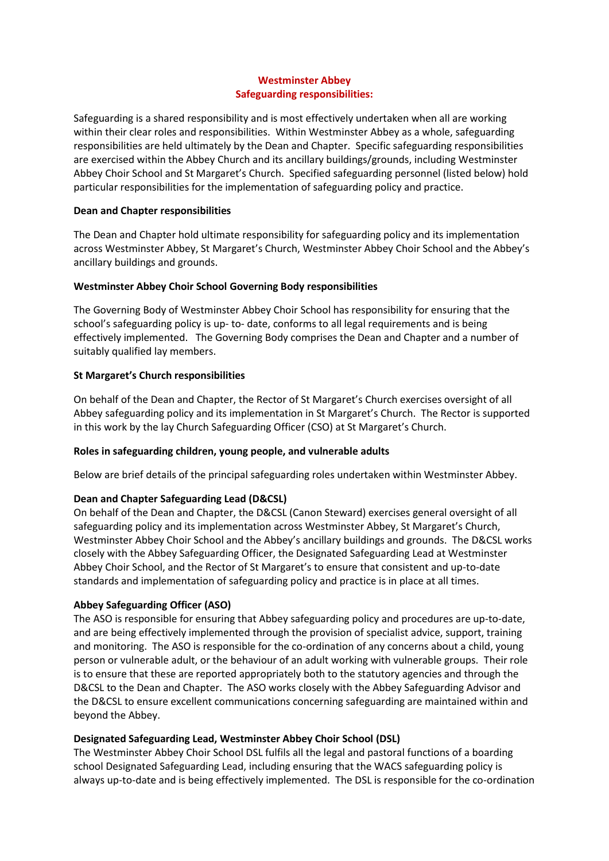## **Westminster Abbey Safeguarding responsibilities:**

Safeguarding is a shared responsibility and is most effectively undertaken when all are working within their clear roles and responsibilities. Within Westminster Abbey as a whole, safeguarding responsibilities are held ultimately by the Dean and Chapter. Specific safeguarding responsibilities are exercised within the Abbey Church and its ancillary buildings/grounds, including Westminster Abbey Choir School and St Margaret's Church. Specified safeguarding personnel (listed below) hold particular responsibilities for the implementation of safeguarding policy and practice.

## **Dean and Chapter responsibilities**

The Dean and Chapter hold ultimate responsibility for safeguarding policy and its implementation across Westminster Abbey, St Margaret's Church, Westminster Abbey Choir School and the Abbey's ancillary buildings and grounds.

### **Westminster Abbey Choir School Governing Body responsibilities**

The Governing Body of Westminster Abbey Choir School has responsibility for ensuring that the school's safeguarding policy is up- to- date, conforms to all legal requirements and is being effectively implemented. The Governing Body comprises the Dean and Chapter and a number of suitably qualified lay members.

# **St Margaret's Church responsibilities**

On behalf of the Dean and Chapter, the Rector of St Margaret's Church exercises oversight of all Abbey safeguarding policy and its implementation in St Margaret's Church. The Rector is supported in this work by the lay Church Safeguarding Officer (CSO) at St Margaret's Church.

# **Roles in safeguarding children, young people, and vulnerable adults**

Below are brief details of the principal safeguarding roles undertaken within Westminster Abbey.

# **Dean and Chapter Safeguarding Lead (D&CSL)**

On behalf of the Dean and Chapter, the D&CSL (Canon Steward) exercises general oversight of all safeguarding policy and its implementation across Westminster Abbey, St Margaret's Church, Westminster Abbey Choir School and the Abbey's ancillary buildings and grounds. The D&CSL works closely with the Abbey Safeguarding Officer, the Designated Safeguarding Lead at Westminster Abbey Choir School, and the Rector of St Margaret's to ensure that consistent and up-to-date standards and implementation of safeguarding policy and practice is in place at all times.

#### **Abbey Safeguarding Officer (ASO)**

The ASO is responsible for ensuring that Abbey safeguarding policy and procedures are up-to-date, and are being effectively implemented through the provision of specialist advice, support, training and monitoring. The ASO is responsible for the co-ordination of any concerns about a child, young person or vulnerable adult, or the behaviour of an adult working with vulnerable groups. Their role is to ensure that these are reported appropriately both to the statutory agencies and through the D&CSL to the Dean and Chapter. The ASO works closely with the Abbey Safeguarding Advisor and the D&CSL to ensure excellent communications concerning safeguarding are maintained within and beyond the Abbey.

# **Designated Safeguarding Lead, Westminster Abbey Choir School (DSL)**

The Westminster Abbey Choir School DSL fulfils all the legal and pastoral functions of a boarding school Designated Safeguarding Lead, including ensuring that the WACS safeguarding policy is always up-to-date and is being effectively implemented. The DSL is responsible for the co-ordination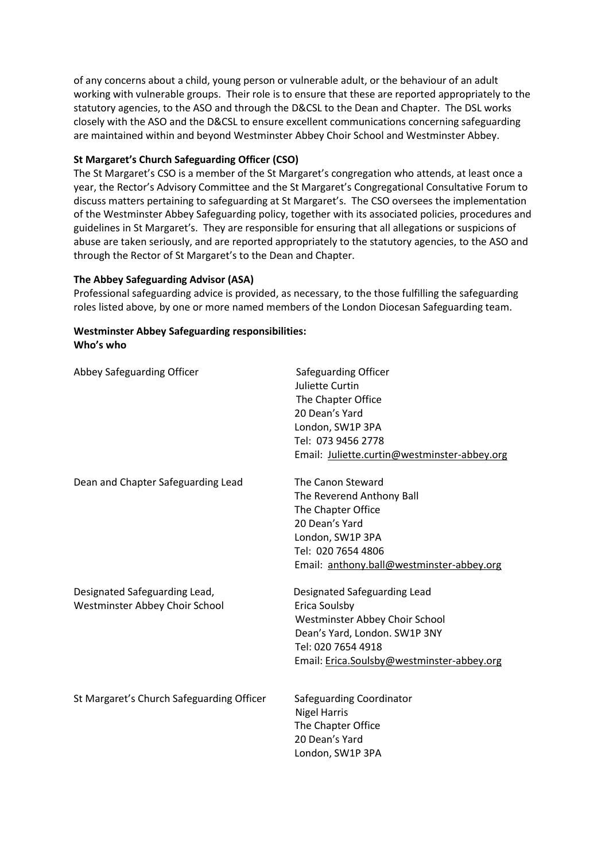of any concerns about a child, young person or vulnerable adult, or the behaviour of an adult working with vulnerable groups. Their role is to ensure that these are reported appropriately to the statutory agencies, to the ASO and through the D&CSL to the Dean and Chapter. The DSL works closely with the ASO and the D&CSL to ensure excellent communications concerning safeguarding are maintained within and beyond Westminster Abbey Choir School and Westminster Abbey.

### **St Margaret's Church Safeguarding Officer (CSO)**

The St Margaret's CSO is a member of the St Margaret's congregation who attends, at least once a year, the Rector's Advisory Committee and the St Margaret's Congregational Consultative Forum to discuss matters pertaining to safeguarding at St Margaret's. The CSO oversees the implementation of the Westminster Abbey Safeguarding policy, together with its associated policies, procedures and guidelines in St Margaret's. They are responsible for ensuring that all allegations or suspicions of abuse are taken seriously, and are reported appropriately to the statutory agencies, to the ASO and through the Rector of St Margaret's to the Dean and Chapter.

#### **The Abbey Safeguarding Advisor (ASA)**

Professional safeguarding advice is provided, as necessary, to the those fulfilling the safeguarding roles listed above, by one or more named members of the London Diocesan Safeguarding team.

### **Westminster Abbey Safeguarding responsibilities: Who's who**

| Abbey Safeguarding Officer                                      | Safeguarding Officer<br>Juliette Curtin<br>The Chapter Office<br>20 Dean's Yard<br>London, SW1P 3PA<br>Tel: 073 9456 2778<br>Email: Juliette.curtin@westminster-abbey.org            |
|-----------------------------------------------------------------|--------------------------------------------------------------------------------------------------------------------------------------------------------------------------------------|
| Dean and Chapter Safeguarding Lead                              | The Canon Steward<br>The Reverend Anthony Ball<br>The Chapter Office<br>20 Dean's Yard<br>London, SW1P 3PA<br>Tel: 020 7654 4806<br>Email: anthony.ball@westminster-abbey.org        |
| Designated Safeguarding Lead,<br>Westminster Abbey Choir School | Designated Safeguarding Lead<br>Erica Soulsby<br>Westminster Abbey Choir School<br>Dean's Yard, London. SW1P 3NY<br>Tel: 020 7654 4918<br>Email: Erica.Soulsby@westminster-abbey.org |
| St Margaret's Church Safeguarding Officer                       | Safeguarding Coordinator<br><b>Nigel Harris</b><br>The Chapter Office<br>20 Dean's Yard<br>London, SW1P 3PA                                                                          |